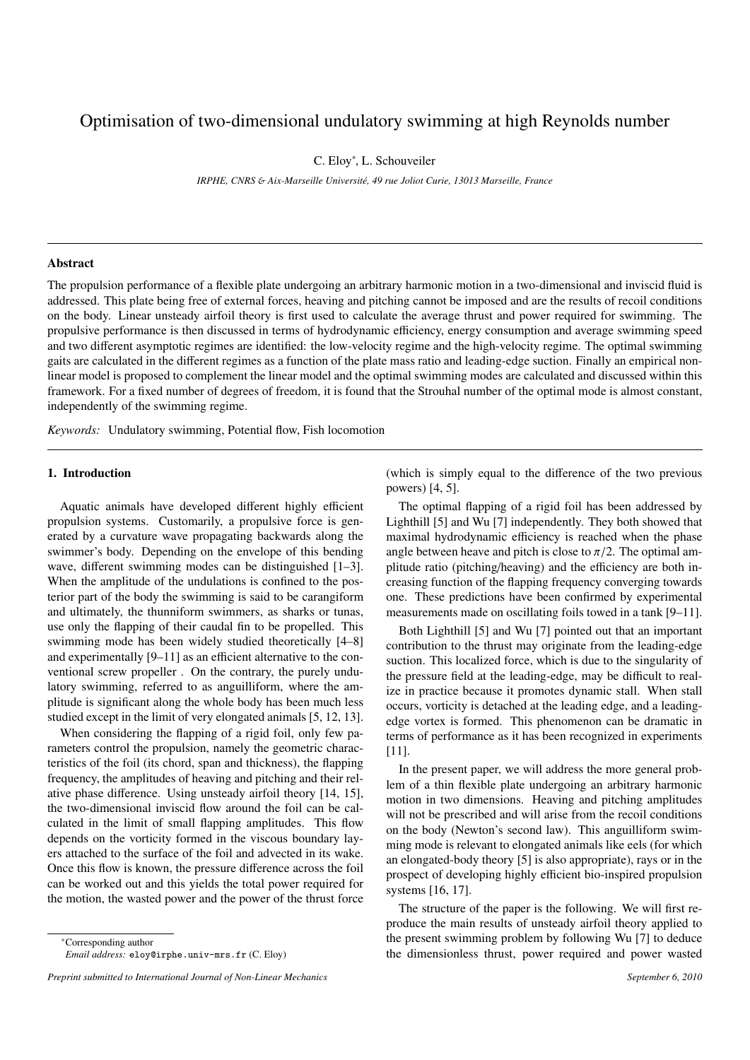# Optimisation of two-dimensional undulatory swimming at high Reynolds number

C. Eloy<sup>∗</sup> , L. Schouveiler

*IRPHE, CNRS* & *Aix-Marseille Universit´e, 49 rue Joliot Curie, 13013 Marseille, France*

#### Abstract

The propulsion performance of a flexible plate undergoing an arbitrary harmonic motion in a two-dimensional and inviscid fluid is addressed. This plate being free of external forces, heaving and pitching cannot be imposed and are the results of recoil conditions on the body. Linear unsteady airfoil theory is first used to calculate the average thrust and power required for swimming. The propulsive performance is then discussed in terms of hydrodynamic efficiency, energy consumption and average swimming speed and two different asymptotic regimes are identified: the low-velocity regime and the high-velocity regime. The optimal swimming gaits are calculated in the different regimes as a function of the plate mass ratio and leading-edge suction. Finally an empirical nonlinear model is proposed to complement the linear model and the optimal swimming modes are calculated and discussed within this framework. For a fixed number of degrees of freedom, it is found that the Strouhal number of the optimal mode is almost constant, independently of the swimming regime.

*Keywords:* Undulatory swimming, Potential flow, Fish locomotion

#### 1. Introduction

Aquatic animals have developed different highly efficient propulsion systems. Customarily, a propulsive force is generated by a curvature wave propagating backwards along the swimmer's body. Depending on the envelope of this bending wave, different swimming modes can be distinguished [1–3]. When the amplitude of the undulations is confined to the posterior part of the body the swimming is said to be carangiform and ultimately, the thunniform swimmers, as sharks or tunas, use only the flapping of their caudal fin to be propelled. This swimming mode has been widely studied theoretically [4–8] and experimentally [9–11] as an efficient alternative to the conventional screw propeller . On the contrary, the purely undulatory swimming, referred to as anguilliform, where the amplitude is significant along the whole body has been much less studied except in the limit of very elongated animals [5, 12, 13].

When considering the flapping of a rigid foil, only few parameters control the propulsion, namely the geometric characteristics of the foil (its chord, span and thickness), the flapping frequency, the amplitudes of heaving and pitching and their relative phase difference. Using unsteady airfoil theory [14, 15], the two-dimensional inviscid flow around the foil can be calculated in the limit of small flapping amplitudes. This flow depends on the vorticity formed in the viscous boundary layers attached to the surface of the foil and advected in its wake. Once this flow is known, the pressure difference across the foil can be worked out and this yields the total power required for the motion, the wasted power and the power of the thrust force

<sup>∗</sup>Corresponding author *Email address:* eloy@irphe.univ-mrs.fr (C. Eloy) (which is simply equal to the difference of the two previous powers) [4, 5].

The optimal flapping of a rigid foil has been addressed by Lighthill [5] and Wu [7] independently. They both showed that maximal hydrodynamic efficiency is reached when the phase angle between heave and pitch is close to  $\pi/2$ . The optimal amplitude ratio (pitching/heaving) and the efficiency are both increasing function of the flapping frequency converging towards one. These predictions have been confirmed by experimental measurements made on oscillating foils towed in a tank [9–11].

Both Lighthill [5] and Wu [7] pointed out that an important contribution to the thrust may originate from the leading-edge suction. This localized force, which is due to the singularity of the pressure field at the leading-edge, may be difficult to realize in practice because it promotes dynamic stall. When stall occurs, vorticity is detached at the leading edge, and a leadingedge vortex is formed. This phenomenon can be dramatic in terms of performance as it has been recognized in experiments [11].

In the present paper, we will address the more general problem of a thin flexible plate undergoing an arbitrary harmonic motion in two dimensions. Heaving and pitching amplitudes will not be prescribed and will arise from the recoil conditions on the body (Newton's second law). This anguilliform swimming mode is relevant to elongated animals like eels (for which an elongated-body theory [5] is also appropriate), rays or in the prospect of developing highly efficient bio-inspired propulsion systems [16, 17].

The structure of the paper is the following. We will first reproduce the main results of unsteady airfoil theory applied to the present swimming problem by following Wu [7] to deduce the dimensionless thrust, power required and power wasted

*Preprint submitted to International Journal of Non-Linear Mechanics September 6, 2010*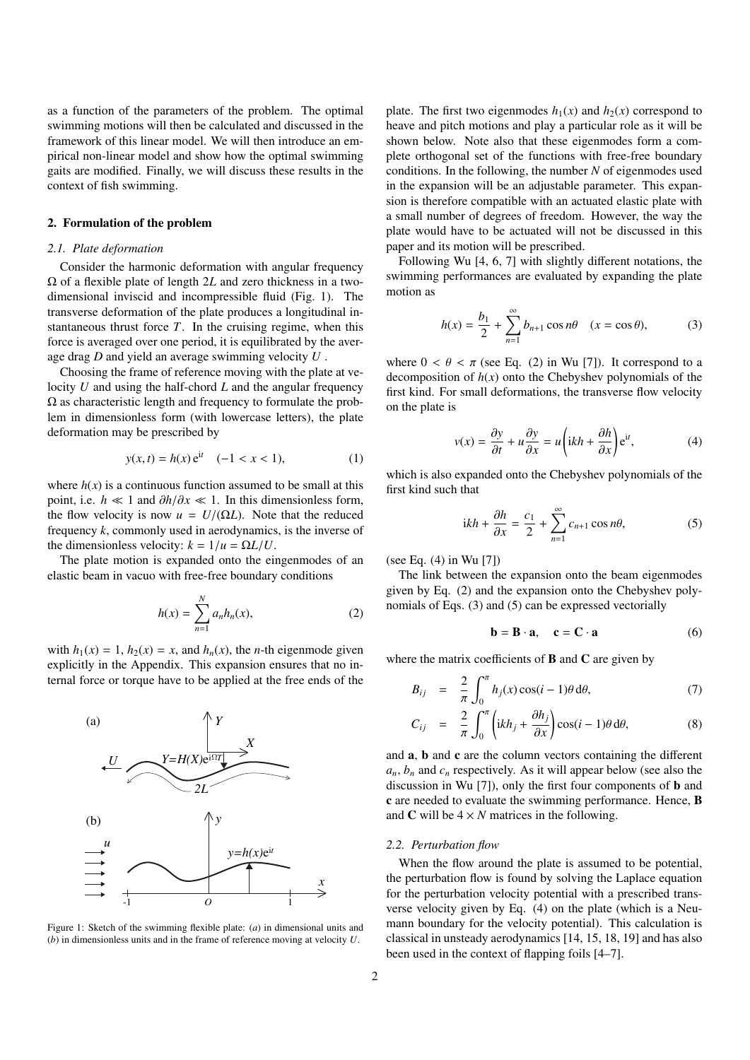as a function of the parameters of the problem. The optimal swimming motions will then be calculated and discussed in the framework of this linear model. We will then introduce an empirical non-linear model and show how the optimal swimming gaits are modified. Finally, we will discuss these results in the context of fish swimming.

#### 2. Formulation of the problem

#### *2.1. Plate deformation*

Consider the harmonic deformation with angular frequency Ω of a flexible plate of length 2*L* and zero thickness in a twodimensional inviscid and incompressible fluid (Fig. 1). The transverse deformation of the plate produces a longitudinal instantaneous thrust force *T*. In the cruising regime, when this force is averaged over one period, it is equilibrated by the average drag *D* and yield an average swimming velocity *U* .

Choosing the frame of reference moving with the plate at velocity *U* and using the half-chord *L* and the angular frequency  $\Omega$  as characteristic length and frequency to formulate the problem in dimensionless form (with lowercase letters), the plate deformation may be prescribed by

$$
y(x,t) = h(x) e^{it} \quad (-1 < x < 1), \tag{1}
$$

where  $h(x)$  is a continuous function assumed to be small at this point, i.e. *h*  $\ll$  1 and  $\partial h/\partial x \ll 1$ . In this dimensionless form, the flow velocity is now  $u = U/(\Omega L)$ . Note that the reduced frequency *k*, commonly used in aerodynamics, is the inverse of the dimensionless velocity:  $k = 1/u = \Omega L/U$ .

The plate motion is expanded onto the eingenmodes of an elastic beam in vacuo with free-free boundary conditions

$$
h(x) = \sum_{n=1}^{N} a_n h_n(x),
$$
 (2)

with  $h_1(x) = 1$ ,  $h_2(x) = x$ , and  $h_n(x)$ , the *n*-th eigenmode given explicitly in the Appendix. This expansion ensures that no internal force or torque have to be applied at the free ends of the



Figure 1: Sketch of the swimming flexible plate: (*a*) in dimensional units and (*b*) in dimensionless units and in the frame of reference moving at velocity *U*.

plate. The first two eigenmodes  $h_1(x)$  and  $h_2(x)$  correspond to heave and pitch motions and play a particular role as it will be shown below. Note also that these eigenmodes form a complete orthogonal set of the functions with free-free boundary conditions. In the following, the number *N* of eigenmodes used in the expansion will be an adjustable parameter. This expansion is therefore compatible with an actuated elastic plate with a small number of degrees of freedom. However, the way the plate would have to be actuated will not be discussed in this paper and its motion will be prescribed.

Following Wu [4, 6, 7] with slightly different notations, the swimming performances are evaluated by expanding the plate motion as

$$
h(x) = \frac{b_1}{2} + \sum_{n=1}^{\infty} b_{n+1} \cos n\theta \quad (x = \cos \theta),
$$
 (3)

where  $0 < \theta < \pi$  (see Eq. (2) in Wu [7]). It correspond to a decomposition of  $h(x)$  onto the Chebyshev polynomials of the first kind. For small deformations, the transverse flow velocity on the plate is

$$
v(x) = \frac{\partial y}{\partial t} + u \frac{\partial y}{\partial x} = u \left( ikh + \frac{\partial h}{\partial x} \right) e^{it},
$$
 (4)

which is also expanded onto the Chebyshev polynomials of the first kind such that

$$
ikh + \frac{\partial h}{\partial x} = \frac{c_1}{2} + \sum_{n=1}^{\infty} c_{n+1} \cos n\theta, \tag{5}
$$

(see Eq. (4) in Wu [7])

The link between the expansion onto the beam eigenmodes given by Eq. (2) and the expansion onto the Chebyshev polynomials of Eqs. (3) and (5) can be expressed vectorially

$$
\mathbf{b} = \mathbf{B} \cdot \mathbf{a}, \quad \mathbf{c} = \mathbf{C} \cdot \mathbf{a}
$$
 (6)

where the matrix coefficients of  $\bf{B}$  and  $\bf{C}$  are given by

$$
B_{ij} = \frac{2}{\pi} \int_0^{\pi} h_j(x) \cos(i-1)\theta \, d\theta, \tag{7}
$$

$$
C_{ij} = \frac{2}{\pi} \int_0^{\pi} \left( ikh_j + \frac{\partial h_j}{\partial x} \right) \cos(i-1)\theta \, d\theta, \tag{8}
$$

and a, b and c are the column vectors containing the different  $a_n$ ,  $b_n$  and  $c_n$  respectively. As it will appear below (see also the discussion in Wu [7]), only the first four components of b and c are needed to evaluate the swimming performance. Hence, B and C will be  $4 \times N$  matrices in the following.

#### *2.2. Perturbation flow*

When the flow around the plate is assumed to be potential, the perturbation flow is found by solving the Laplace equation for the perturbation velocity potential with a prescribed transverse velocity given by Eq. (4) on the plate (which is a Neumann boundary for the velocity potential). This calculation is classical in unsteady aerodynamics [14, 15, 18, 19] and has also been used in the context of flapping foils [4–7].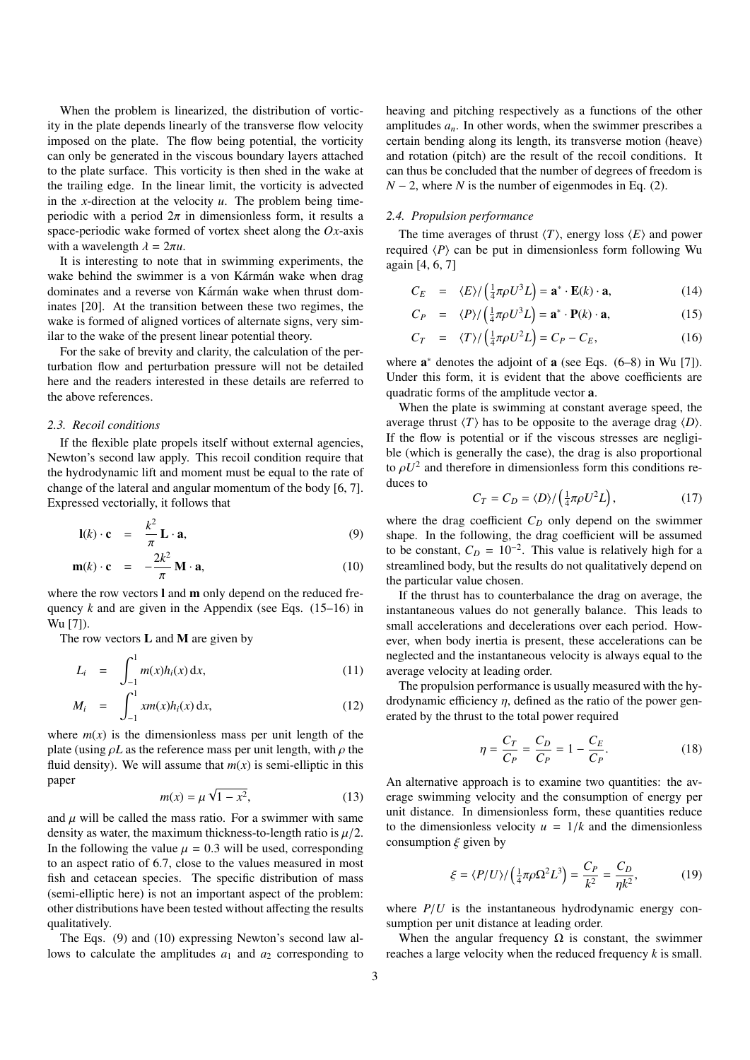When the problem is linearized, the distribution of vorticity in the plate depends linearly of the transverse flow velocity imposed on the plate. The flow being potential, the vorticity can only be generated in the viscous boundary layers attached to the plate surface. This vorticity is then shed in the wake at the trailing edge. In the linear limit, the vorticity is advected in the *x*-direction at the velocity *u*. The problem being timeperiodic with a period  $2\pi$  in dimensionless form, it results a space-periodic wake formed of vortex sheet along the *Ox*-axis with a wavelength  $\lambda = 2\pi u$ .

It is interesting to note that in swimming experiments, the wake behind the swimmer is a von Kármán wake when drag dominates and a reverse von Kármán wake when thrust dominates [20]. At the transition between these two regimes, the wake is formed of aligned vortices of alternate signs, very similar to the wake of the present linear potential theory.

For the sake of brevity and clarity, the calculation of the perturbation flow and perturbation pressure will not be detailed here and the readers interested in these details are referred to the above references.

#### *2.3. Recoil conditions*

If the flexible plate propels itself without external agencies, Newton's second law apply. This recoil condition require that the hydrodynamic lift and moment must be equal to the rate of change of the lateral and angular momentum of the body [6, 7]. Expressed vectorially, it follows that

$$
\mathbf{l}(k) \cdot \mathbf{c} = \frac{k^2}{\pi} \mathbf{L} \cdot \mathbf{a}, \tag{9}
$$

$$
\mathbf{m}(k) \cdot \mathbf{c} = -\frac{2k^2}{\pi} \mathbf{M} \cdot \mathbf{a}, \qquad (10)
$$

where the row vectors  $\bf{l}$  and  $\bf{m}$  only depend on the reduced frequency  $k$  and are given in the Appendix (see Eqs.  $(15-16)$  in Wu [7]).

The row vectors  $L$  and  $M$  are given by

$$
L_i = \int_{-1}^{1} m(x)h_i(x) \, \mathrm{d}x,\tag{11}
$$

$$
M_i = \int_{-1}^{1} x m(x) h_i(x) \, \mathrm{d}x,\tag{12}
$$

where  $m(x)$  is the dimensionless mass per unit length of the plate (using  $\rho L$  as the reference mass per unit length, with  $\rho$  the fluid density). We will assume that  $m(x)$  is semi-elliptic in this paper √

$$
m(x) = \mu \sqrt{1 - x^2},\tag{13}
$$

and  $\mu$  will be called the mass ratio. For a swimmer with same density as water, the maximum thickness-to-length ratio is  $\mu/2$ . In the following the value  $\mu = 0.3$  will be used, corresponding to an aspect ratio of 6.7, close to the values measured in most fish and cetacean species. The specific distribution of mass (semi-elliptic here) is not an important aspect of the problem: other distributions have been tested without affecting the results qualitatively.

The Eqs. (9) and (10) expressing Newton's second law allows to calculate the amplitudes  $a_1$  and  $a_2$  corresponding to heaving and pitching respectively as a functions of the other amplitudes  $a_n$ . In other words, when the swimmer prescribes a certain bending along its length, its transverse motion (heave) and rotation (pitch) are the result of the recoil conditions. It can thus be concluded that the number of degrees of freedom is  $N - 2$ , where *N* is the number of eigenmodes in Eq. (2).

## *2.4. Propulsion performance*

The time averages of thrust  $\langle T \rangle$ , energy loss  $\langle E \rangle$  and power required  $\langle P \rangle$  can be put in dimensionless form following Wu again [4, 6, 7]

$$
C_E = \langle E \rangle / \left(\frac{1}{4}\pi\rho U^3 L\right) = \mathbf{a}^* \cdot \mathbf{E}(k) \cdot \mathbf{a},\tag{14}
$$

$$
C_P = \langle P \rangle / \left( \frac{1}{4} \pi \rho U^3 L \right) = \mathbf{a}^* \cdot \mathbf{P}(k) \cdot \mathbf{a}, \tag{15}
$$

$$
C_T = \langle T \rangle / \left(\frac{1}{4}\pi\rho U^2 L\right) = C_P - C_E,\tag{16}
$$

where  $a^*$  denotes the adjoint of  $a$  (see Eqs.  $(6-8)$  in Wu [7]). Under this form, it is evident that the above coefficients are quadratic forms of the amplitude vector a.

When the plate is swimming at constant average speed, the average thrust  $\langle T \rangle$  has to be opposite to the average drag  $\langle D \rangle$ . If the flow is potential or if the viscous stresses are negligible (which is generally the case), the drag is also proportional to  $\rho U^2$  and therefore in dimensionless form this conditions reduces to

$$
C_T = C_D = \langle D \rangle / \left(\frac{1}{4}\pi\rho U^2 L\right),\tag{17}
$$

where the drag coefficient  $C_D$  only depend on the swimmer shape. In the following, the drag coefficient will be assumed to be constant,  $C_D = 10^{-2}$ . This value is relatively high for a streamlined body, but the results do not qualitatively depend on the particular value chosen.

If the thrust has to counterbalance the drag on average, the instantaneous values do not generally balance. This leads to small accelerations and decelerations over each period. However, when body inertia is present, these accelerations can be neglected and the instantaneous velocity is always equal to the average velocity at leading order.

The propulsion performance is usually measured with the hydrodynamic efficiency  $\eta$ , defined as the ratio of the power generated by the thrust to the total power required

$$
\eta = \frac{C_T}{C_P} = \frac{C_D}{C_P} = 1 - \frac{C_E}{C_P}.
$$
\n(18)

An alternative approach is to examine two quantities: the average swimming velocity and the consumption of energy per unit distance. In dimensionless form, these quantities reduce to the dimensionless velocity  $u = 1/k$  and the dimensionless consumption  $\xi$  given by

$$
\xi = \langle P/U \rangle / \left(\frac{1}{4}\pi\rho\Omega^2 L^3\right) = \frac{C_P}{k^2} = \frac{C_D}{\eta k^2},\tag{19}
$$

where  $P/U$  is the instantaneous hydrodynamic energy consumption per unit distance at leading order.

When the angular frequency  $\Omega$  is constant, the swimmer reaches a large velocity when the reduced frequency *k* is small.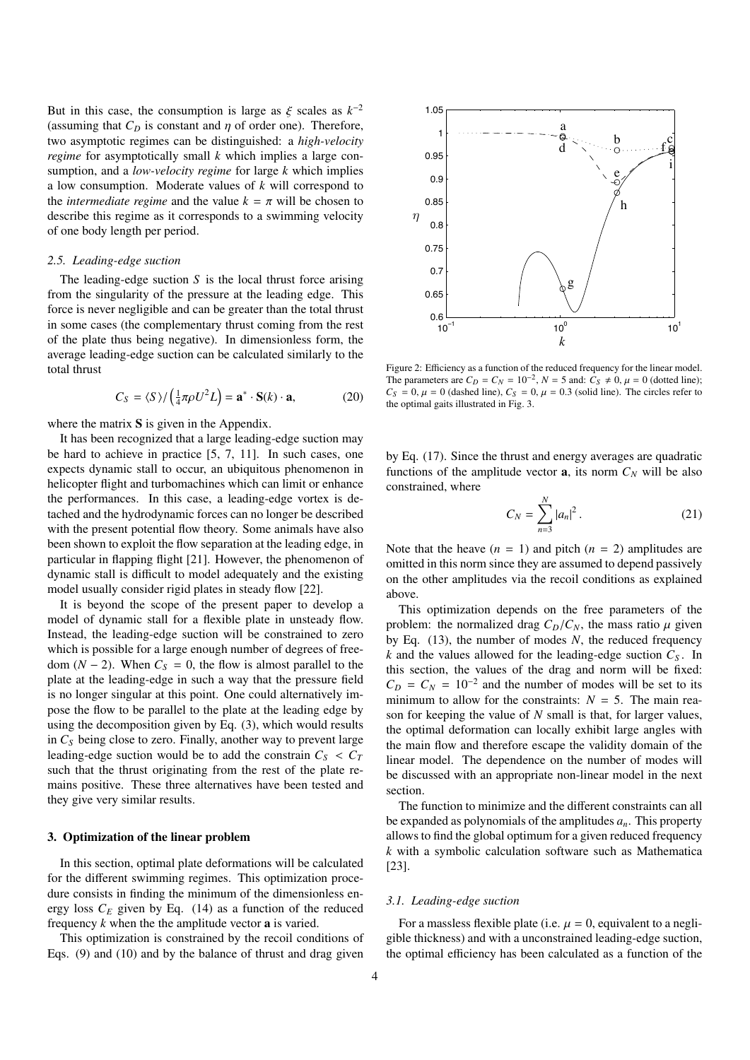But in this case, the consumption is large as  $\xi$  scales as  $k^{-2}$ <br>Cassuming that  $C_2$  is constant and *n* of order one). Therefore (assuming that  $C_D$  is constant and  $\eta$  of order one). Therefore, two asymptotic regimes can be distinguished: a *high-velocity regime* for asymptotically small *k* which implies a large consumption, and a *low-velocity regime* for large *k* which implies a low consumption. Moderate values of *k* will correspond to the *intermediate regime* and the value  $k = \pi$  will be chosen to describe this regime as it corresponds to a swimming velocity of one body length per period.

#### *2.5. Leading-edge suction*

The leading-edge suction *S* is the local thrust force arising from the singularity of the pressure at the leading edge. This force is never negligible and can be greater than the total thrust in some cases (the complementary thrust coming from the rest of the plate thus being negative). In dimensionless form, the average leading-edge suction can be calculated similarly to the total thrust

$$
C_{S} = \langle S \rangle / \left(\frac{1}{4}\pi\rho U^{2}L\right) = \mathbf{a}^{*} \cdot \mathbf{S}(k) \cdot \mathbf{a},\tag{20}
$$

where the matrix S is given in the Appendix.

It has been recognized that a large leading-edge suction may be hard to achieve in practice [5, 7, 11]. In such cases, one expects dynamic stall to occur, an ubiquitous phenomenon in helicopter flight and turbomachines which can limit or enhance the performances. In this case, a leading-edge vortex is detached and the hydrodynamic forces can no longer be described with the present potential flow theory. Some animals have also been shown to exploit the flow separation at the leading edge, in particular in flapping flight [21]. However, the phenomenon of dynamic stall is difficult to model adequately and the existing model usually consider rigid plates in steady flow [22].

It is beyond the scope of the present paper to develop a model of dynamic stall for a flexible plate in unsteady flow. Instead, the leading-edge suction will be constrained to zero which is possible for a large enough number of degrees of freedom  $(N − 2)$ . When  $C<sub>S</sub> = 0$ , the flow is almost parallel to the plate at the leading-edge in such a way that the pressure field is no longer singular at this point. One could alternatively impose the flow to be parallel to the plate at the leading edge by using the decomposition given by Eq. (3), which would results in  $C<sub>S</sub>$  being close to zero. Finally, another way to prevent large leading-edge suction would be to add the constrain  $C_S < C_T$ such that the thrust originating from the rest of the plate remains positive. These three alternatives have been tested and they give very similar results.

#### 3. Optimization of the linear problem

In this section, optimal plate deformations will be calculated for the different swimming regimes. This optimization procedure consists in finding the minimum of the dimensionless energy loss  $C_E$  given by Eq. (14) as a function of the reduced frequency *k* when the the amplitude vector a is varied.

This optimization is constrained by the recoil conditions of Eqs. (9) and (10) and by the balance of thrust and drag given



 $C_S = 0$ ,  $\mu = 0$  (dashed line),  $C_S = 0$ ,  $\mu = 0.3$  (solid line). The circles refer to the optimal gaits illustrated in Fig. 3. Figure 2: Efficiency as a function of the reduced frequency for the linear model. The parameters are  $C_D = C_N = 10^{-2}$ ,  $N = 5$  and:  $C_S \neq 0$ ,  $\mu = 0$  (dotted line);<br>  $C_S = 0$ ,  $\mu = 0$  (dashed line);  $C_S = 0$ ,  $\mu = 0$  3 (solid line). The circles refer to the optimal gaits illustrated in Fig. 3.

constrained, where 1 by Eq. (17). Since the thrust and energy averages are quadratic by Eq.  $(17)$ . Since the thrust and energy averages are quadratic functions of the amplitude vector **a**, its norm  $C_N$  will be also

$$
C_N = \sum_{n=3}^{N} |a_n|^2.
$$
 (21)

omitted in this norm since they are assumed to depend passively Note that the heave  $(n = 1)$  and pitch  $(n = 2)$  amplitudes are on the other amplitudes via the recoil conditions as explained above.

by Eq. (13), the number of modes *N*, the reduced frequency This optimization depends on the free parameters of the *k k k* and the values allowed for the leading-edge suction *C<sup>S</sup>* . In problem: the normalized drag  $C_D/C_N$ , the mass ratio  $\mu$  given this section, the values of the drag and norm will be fixed:  $C_D = C_N = 10^{-2}$  and the number of modes will be set to its minimum to allow for the constraints:  $N = 5$ . The main reason for keeping the value of *N* small is that, for larger values, the optimal deformation can locally exhibit large angles with the main flow and therefore escape the validity domain of the linear model. The dependence on the number of modes will be discussed with an appropriate non-linear model in the next section.

The function to minimize and the different constraints can all be expanded as polynomials of the amplitudes  $a_n$ . This property allows to find the global optimum for a given reduced frequency *k* with a symbolic calculation software such as Mathematica [23].

#### *3.1. Leading-edge suction*

For a massless flexible plate (i.e.  $\mu = 0$ , equivalent to a negligible thickness) and with a unconstrained leading-edge suction, the optimal efficiency has been calculated as a function of the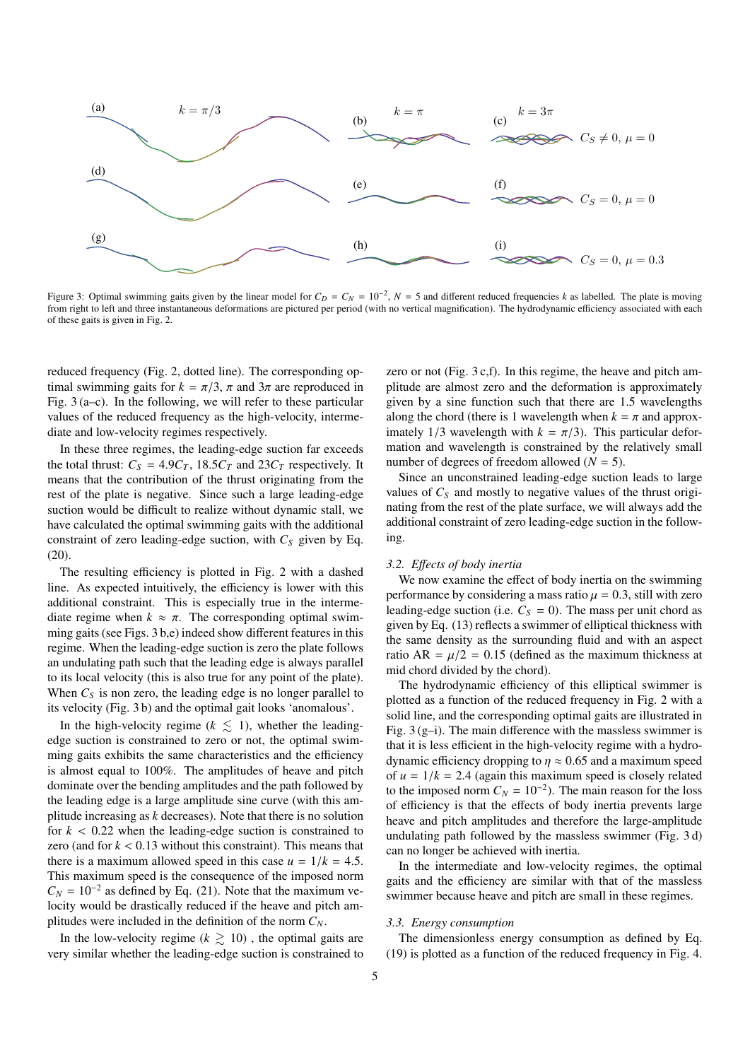

Figure 3: Optimal swimming gaits given by the linear model for  $C_D = C_N = 10^{-2}$ ,  $N = 5$  and different reduced frequencies *k* as labelled. The plate is moving from right to left and three instantaneous deformations are pictured per period (with no vertical magnification). The hydrodynamic efficiency associated with each of these gaits is given in Fig. 2.

reduced frequency (Fig. 2, dotted line). The corresponding optimal swimming gaits for  $k = \pi/3$ ,  $\pi$  and  $3\pi$  are reproduced in Fig. 3 (a–c). In the following, we will refer to these particular values of the reduced frequency as the high-velocity, intermediate and low-velocity regimes respectively.

In these three regimes, the leading-edge suction far exceeds the total thrust:  $C_S = 4.9C_T$ , 18.5 $C_T$  and 23 $C_T$  respectively. It means that the contribution of the thrust originating from the rest of the plate is negative. Since such a large leading-edge suction would be difficult to realize without dynamic stall, we have calculated the optimal swimming gaits with the additional constraint of zero leading-edge suction, with  $C_S$  given by Eq. (20).

The resulting efficiency is plotted in Fig. 2 with a dashed line. As expected intuitively, the efficiency is lower with this additional constraint. This is especially true in the intermediate regime when  $k \approx \pi$ . The corresponding optimal swimming gaits (see Figs. 3 b,e) indeed show different features in this regime. When the leading-edge suction is zero the plate follows an undulating path such that the leading edge is always parallel to its local velocity (this is also true for any point of the plate). When  $C<sub>S</sub>$  is non zero, the leading edge is no longer parallel to its velocity (Fig. 3 b) and the optimal gait looks 'anomalous'.

In the high-velocity regime ( $k \leq 1$ ), whether the leadingedge suction is constrained to zero or not, the optimal swimming gaits exhibits the same characteristics and the efficiency is almost equal to 100%. The amplitudes of heave and pitch dominate over the bending amplitudes and the path followed by the leading edge is a large amplitude sine curve (with this amplitude increasing as *k* decreases). Note that there is no solution for  $k < 0.22$  when the leading-edge suction is constrained to zero (and for  $k < 0.13$  without this constraint). This means that there is a maximum allowed speed in this case  $u = 1/k = 4.5$ . This maximum speed is the consequence of the imposed norm  $C_N = 10^{-2}$  as defined by Eq. (21). Note that the maximum velocity would be drastically reduced if the heave and pitch amplitudes were included in the definition of the norm  $C_N$ .

In the low-velocity regime ( $k \geq 10$ ), the optimal gaits are very similar whether the leading-edge suction is constrained to zero or not (Fig. 3 c,f). In this regime, the heave and pitch amplitude are almost zero and the deformation is approximately given by a sine function such that there are 1.5 wavelengths along the chord (there is 1 wavelength when  $k = \pi$  and approximately 1/3 wavelength with  $k = \pi/3$ ). This particular deformation and wavelength is constrained by the relatively small number of degrees of freedom allowed  $(N = 5)$ .

Since an unconstrained leading-edge suction leads to large values of  $C_S$  and mostly to negative values of the thrust originating from the rest of the plate surface, we will always add the additional constraint of zero leading-edge suction in the following.

#### *3.2. E*ff*ects of body inertia*

We now examine the effect of body inertia on the swimming performance by considering a mass ratio  $\mu = 0.3$ , still with zero leading-edge suction (i.e.  $C_S = 0$ ). The mass per unit chord as given by Eq. (13) reflects a swimmer of elliptical thickness with the same density as the surrounding fluid and with an aspect ratio AR =  $\mu/2$  = 0.15 (defined as the maximum thickness at mid chord divided by the chord).

The hydrodynamic efficiency of this elliptical swimmer is plotted as a function of the reduced frequency in Fig. 2 with a solid line, and the corresponding optimal gaits are illustrated in Fig. 3 (g–i). The main difference with the massless swimmer is that it is less efficient in the high-velocity regime with a hydrodynamic efficiency dropping to  $\eta \approx 0.65$  and a maximum speed of  $u = 1/k = 2.4$  (again this maximum speed is closely related to the imposed norm  $C_N = 10^{-2}$ ). The main reason for the loss of efficiency is that the effects of body inertia prevents large heave and pitch amplitudes and therefore the large-amplitude undulating path followed by the massless swimmer (Fig. 3 d) can no longer be achieved with inertia.

In the intermediate and low-velocity regimes, the optimal gaits and the efficiency are similar with that of the massless swimmer because heave and pitch are small in these regimes.

#### *3.3. Energy consumption*

The dimensionless energy consumption as defined by Eq. (19) is plotted as a function of the reduced frequency in Fig. 4.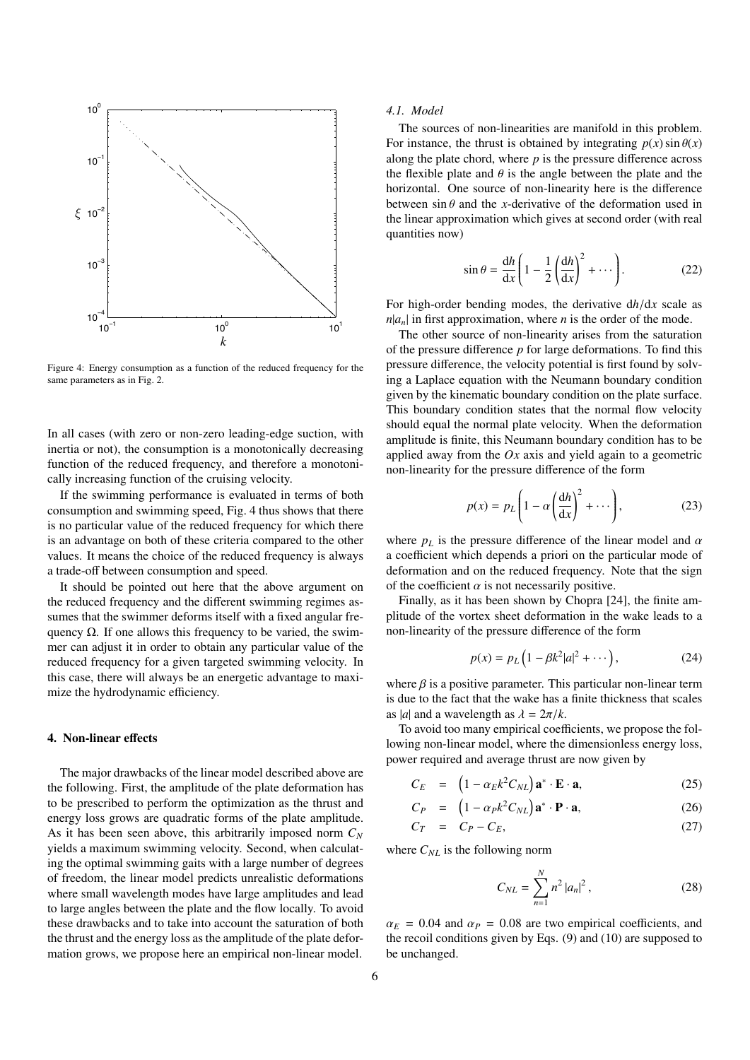

Figure 4: Energy consumption as a function of the reduced frequency for the same parameters as in Fig. 2.

eally increasing function of the cruising velocity. inertia or not), the consumption is a monotonically decreasing In all cases (with zero or non-zero leading-edge suction, with function of the reduced frequency, and therefore a monotoni-

s an advantage on both of these effect a compared to the other is no particular value of the reduced frequency for which there 0.25 e consumption and swimming speed, Fig. 4 thus shows that there insing velocity.<br>s evaluated in terms o If the swimming performance is evaluated in terms of both is an advantage on both of these criteria compared to the other a trade-off between consumption and speed.

mer can adjust it in order to obtain any particular value of the quency  $\Omega$ . If one allows this frequency to be varied, the swimthe reduced frequency and the different swimming regimes as-It should be pointed out here that the above argument on *k k* reduced frequency for a given targeted swimming velocity. In sumes that the swimmer deforms itself with a fixed angular frethis case, there will always be an energetic advantage to maximize the hydrodynamic efficiency.

#### 4. Non-linear effects

The major drawbacks of the linear model described above are the following. First, the amplitude of the plate deformation has to be prescribed to perform the optimization as the thrust and energy loss grows are quadratic forms of the plate amplitude. As it has been seen above, this arbitrarily imposed norm *C<sup>N</sup>* yields a maximum swimming velocity. Second, when calculating the optimal swimming gaits with a large number of degrees of freedom, the linear model predicts unrealistic deformations where small wavelength modes have large amplitudes and lead to large angles between the plate and the flow locally. To avoid these drawbacks and to take into account the saturation of both the thrust and the energy loss as the amplitude of the plate deformation grows, we propose here an empirical non-linear model.

#### *4.1. Model*

The sources of non-linearities are manifold in this problem. For instance, the thrust is obtained by integrating  $p(x) \sin \theta(x)$ along the plate chord, where  $p$  is the pressure difference across the flexible plate and  $\theta$  is the angle between the plate and the horizontal. One source of non-linearity here is the difference between  $\sin \theta$  and the *x*-derivative of the deformation used in the linear approximation which gives at second order (with real quantities now)

$$
\sin \theta = \frac{\mathrm{d}h}{\mathrm{d}x} \left( 1 - \frac{1}{2} \left( \frac{\mathrm{d}h}{\mathrm{d}x} \right)^2 + \cdots \right). \tag{22}
$$

For high-order bending modes, the derivative d*h*/d*<sup>x</sup>* scale as  $n|a_n|$  in first approximation, where *n* is the order of the mode.

The other source of non-linearity arises from the saturation of the pressure difference *p* for large deformations. To find this pressure difference, the velocity potential is first found by solving a Laplace equation with the Neumann boundary condition given by the kinematic boundary condition on the plate surface. This boundary condition states that the normal flow velocity should equal the normal plate velocity. When the deformation amplitude is finite, this Neumann boundary condition has to be applied away from the *Ox* axis and yield again to a geometric non-linearity for the pressure difference of the form

$$
p(x) = p_L \left( 1 - \alpha \left( \frac{dh}{dx} \right)^2 + \dots \right),\tag{23}
$$

where  $p_L$  is the pressure difference of the linear model and  $\alpha$ a coefficient which depends a priori on the particular mode of deformation and on the reduced frequency. Note that the sign of the coefficient  $\alpha$  is not necessarily positive.

Finally, as it has been shown by Chopra [24], the finite amplitude of the vortex sheet deformation in the wake leads to a non-linearity of the pressure difference of the form

$$
p(x) = p_L (1 - \beta k^2 |a|^2 + \cdots),
$$
 (24)

where  $\beta$  is a positive parameter. This particular non-linear term is due to the fact that the wake has a finite thickness that scales as |*a*| and a wavelength as  $\lambda = 2\pi/k$ .

To avoid too many empirical coefficients, we propose the following non-linear model, where the dimensionless energy loss, power required and average thrust are now given by

$$
C_E = \left(1 - \alpha_E k^2 C_{NL}\right) \mathbf{a}^* \cdot \mathbf{E} \cdot \mathbf{a},\tag{25}
$$

$$
C_P = \left(1 - \alpha_P k^2 C_{NL}\right) \mathbf{a}^* \cdot \mathbf{P} \cdot \mathbf{a},\tag{26}
$$

$$
C_T = C_P - C_E, \tag{27}
$$

where  $C_{NL}$  is the following norm

$$
C_{NL} = \sum_{n=1}^{N} n^2 |a_n|^2, \qquad (28)
$$

 $\alpha_E$  = 0.04 and  $\alpha_P$  = 0.08 are two empirical coefficients, and the recoil conditions given by Eqs. (9) and (10) are supposed to be unchanged.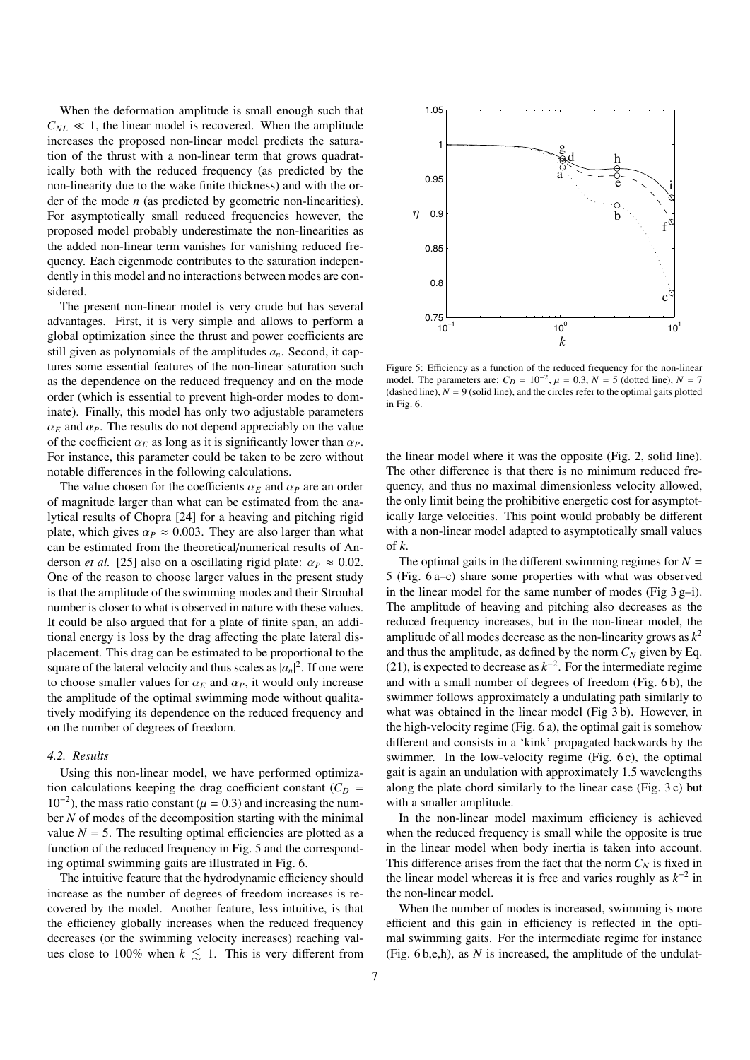When the deformation amplitude is small enough such that  $C_{NL} \ll 1$ , the linear model is recovered. When the amplitude increases the proposed non-linear model predicts the saturation of the thrust with a non-linear term that grows quadratically both with the reduced frequency (as predicted by the non-linearity due to the wake finite thickness) and with the order of the mode *n* (as predicted by geometric non-linearities). For asymptotically small reduced frequencies however, the proposed model probably underestimate the non-linearities as the added non-linear term vanishes for vanishing reduced frequency. Each eigenmode contributes to the saturation independently in this model and no interactions between modes are considered.

The present non-linear model is very crude but has several advantages. First, it is very simple and allows to perform a global optimization since the thrust and power coefficients are still given as polynomials of the amplitudes  $a_n$ . Second, it captures some essential features of the non-linear saturation such as the dependence on the reduced frequency and on the mode order (which is essential to prevent high-order modes to dominate). Finally, this model has only two adjustable parameters  $\alpha_F$  and  $\alpha_P$ . The results do not depend appreciably on the value of the coefficient  $\alpha_F$  as long as it is significantly lower than  $\alpha_P$ . For instance, this parameter could be taken to be zero without notable differences in the following calculations.

The value chosen for the coefficients  $\alpha_E$  and  $\alpha_P$  are an order of magnitude larger than what can be estimated from the analytical results of Chopra [24] for a heaving and pitching rigid plate, which gives  $\alpha_P \approx 0.003$ . They are also larger than what can be estimated from the theoretical/numerical results of Anderson *et al.* [25] also on a oscillating rigid plate:  $\alpha_P \approx 0.02$ . One of the reason to choose larger values in the present study is that the amplitude of the swimming modes and their Strouhal number is closer to what is observed in nature with these values. It could be also argued that for a plate of finite span, an additional energy is loss by the drag affecting the plate lateral displacement. This drag can be estimated to be proportional to the square of the lateral velocity and thus scales as  $|a_n|^2$ . If one were to choose smaller values for  $\alpha_E$  and  $\alpha_P$ , it would only increase the amplitude of the optimal swimming mode without qualitatively modifying its dependence on the reduced frequency and on the number of degrees of freedom.

#### *4.2. Results*

Using this non-linear model, we have performed optimization calculations keeping the drag coefficient constant  $(C_D =$  $10^{-2}$ ), the mass ratio constant ( $\mu = 0.3$ ) and increasing the num-<br>her N of modes of the decomposition starting with the minimal ber *N* of modes of the decomposition starting with the minimal value  $N = 5$ . The resulting optimal efficiencies are plotted as a function of the reduced frequency in Fig. 5 and the corresponding optimal swimming gaits are illustrated in Fig. 6.

The intuitive feature that the hydrodynamic efficiency should increase as the number of degrees of freedom increases is recovered by the model. Another feature, less intuitive, is that the efficiency globally increases when the reduced frequency decreases (or the swimming velocity increases) reaching values close to 100% when  $k \leq 1$ . This is very different from



Figure 5: Efficiency as a function of the reduced frequency for the non-linear model. The parameters are:  $C_D = 10^{-2}$ ,  $\mu = 0.3$ ,  $N = 5$  (dotted line),  $N = 7$ <br>(dashed line),  $N = 9$  (solid line), and the circles refer to the optimal gaits plotted (dashed line),  $N = 9$  (solid line), and the circles refer to the optimal gaits plotted in Fig. 6.

the linear model where it was the opposite (Fig. 2, solid line). The other difference is that there is no minimum reduced frequency, and thus no maximal dimensionless velocity allowed, the only limit being the prohibitive energetic cost for asymptotically large velocities. This point would probably be different with a non-linear model adapted to asymptotically small values of *k*.

The optimal gaits in the different swimming regimes for  $N =$ 5 (Fig. 6 a–c) share some properties with what was observed in the linear model for the same number of modes (Fig  $3 g-i$ ). The amplitude of heaving and pitching also decreases as the reduced frequency increases, but in the non-linear model, the amplitude of all modes decrease as the non-linearity grows as  $k^2$ and thus the amplitude, as defined by the norm  $C_N$  given by Eq. (21), is expected to decrease as  $k^{-2}$ . For the intermediate regime and with a small number of degrees of freedom (Fig. 6 b), the swimmer follows approximately a undulating path similarly to what was obtained in the linear model (Fig 3 b). However, in the high-velocity regime (Fig. 6 a), the optimal gait is somehow different and consists in a 'kink' propagated backwards by the swimmer. In the low-velocity regime (Fig. 6 c), the optimal gait is again an undulation with approximately 1.5 wavelengths along the plate chord similarly to the linear case (Fig. 3 c) but with a smaller amplitude.

In the non-linear model maximum efficiency is achieved when the reduced frequency is small while the opposite is true in the linear model when body inertia is taken into account. This difference arises from the fact that the norm  $C_N$  is fixed in the linear model whereas it is free and varies roughly as  $k^{-2}$  in the non-linear model.

When the number of modes is increased, swimming is more efficient and this gain in efficiency is reflected in the optimal swimming gaits. For the intermediate regime for instance (Fig. 6 b,e,h), as *N* is increased, the amplitude of the undulat-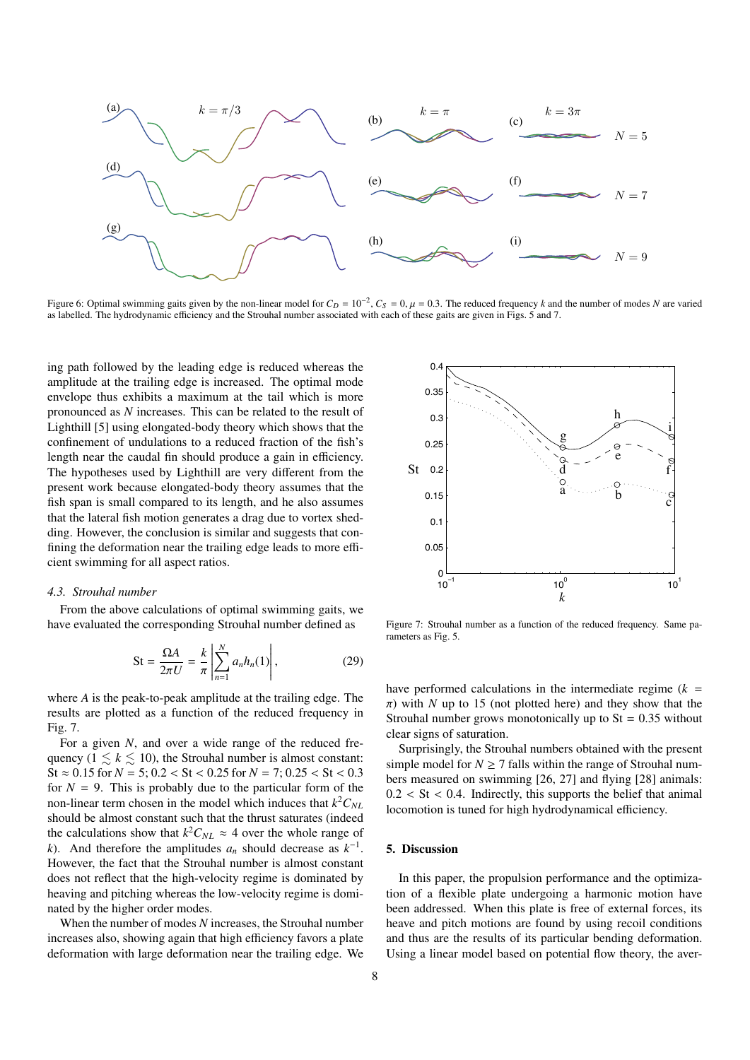

Figure 6: Optimal swimming gaits given by the non-linear model for  $C_D = 10^{-2}$ ,  $C_S = 0$ ,  $\mu = 0.3$ . The reduced frequency *k* and the number of modes *N* are varied as labelled. The hydrodynamic efficiency and the Strouba as labelled. The hydrodynamic efficiency and the Strouhal number associated with each of these gaits are given in Figs. 5 and 7.

ing path followed by the leading edge is reduced whereas the amplitude at the trailing edge is increased. The optimal mode envelope thus exhibits a maximum at the tail which is more pronounced as  $N$  increases. This can be related to the result of Lighthill [5] using elongated-body theory which shows that the confinement of undulations to a reduced fraction of the fish's length near the caudal fin should produce a gain in efficiency. The hypotheses used by Lighthill are very different from the b present work because elongated-body theory assumes that the f fish span is small compared to its length, and he also assumes that the lateral fish motion generates a drag due to vortex shedding. However, the conclusion is similar and suggests that confining the deformation near the trailing edge leads to more efficient swimming for all aspect ratios.

# 4.3. Strouhal number

From the above calculations of optimal swimming gaits, we have evaluated the corresponding Strouhal number defined as

$$
St = \frac{\Omega A}{2\pi U} = \frac{k}{\pi} \left| \sum_{n=1}^{N} a_n h_n(1) \right|,
$$
 (29)

where *A* is the peak-to-peak amplitude at the trailing edge. The results are plotted as a function of the reduced frequency in Fig. 7.

For a given *N*, and over a wide range of the reduced frequency  $(1 \leq k \leq 10)$ , the Strouhal number is almost constant:  $St \approx 0.15$  for  $N = 5$ ;  $0.2 < St < 0.25$  for  $N = 7$ ;  $0.25 < St < 0.3$ for  $N = 9$ . This is probably due to the particular form of the non-linear term chosen in the model which induces that  $k^2C_{NL}$ should be almost constant such that the thrust saturates (indeed the calculations show that  $k^2C_{NL} \approx 4$  over the whole range of *k*). And therefore the amplitudes  $a_n$  should decrease as  $k^{-1}$ . However, the fact that the Strouhal number is almost constant does not reflect that the high-velocity regime is dominated by heaving and pitching whereas the low-velocity regime is dominated by the higher order modes.

When the number of modes *N* increases, the Strouhal number increases also, showing again that high efficiency favors a plate deformation with large deformation near the trailing edge. We



Figure 7: Strouhal number as a function of the reduced frequency. Same parameters as Fig. 5.

have performed calculations in the intermediate regime  $(k =$  $\pi$ ) with *N* up to 15 (not plotted here) and they show that the Strouhal number grows monotonically up to  $St = 0.35$  without clear signs of saturation.

Surprisingly, the Strouhal numbers obtained with the present simple model for  $N \ge 7$  falls within the range of Strouhal numbers measured on swimming [26, 27] and flying [28] animals:  $0.2 < St < 0.4$ . Indirectly, this supports the belief that animal locomotion is tuned for high hydrodynamical efficiency.

# 5. Discussion

In this paper, the propulsion performance and the optimization of a flexible plate undergoing a harmonic motion have been addressed. When this plate is free of external forces, its heave and pitch motions are found by using recoil conditions and thus are the results of its particular bending deformation. Using a linear model based on potential flow theory, the aver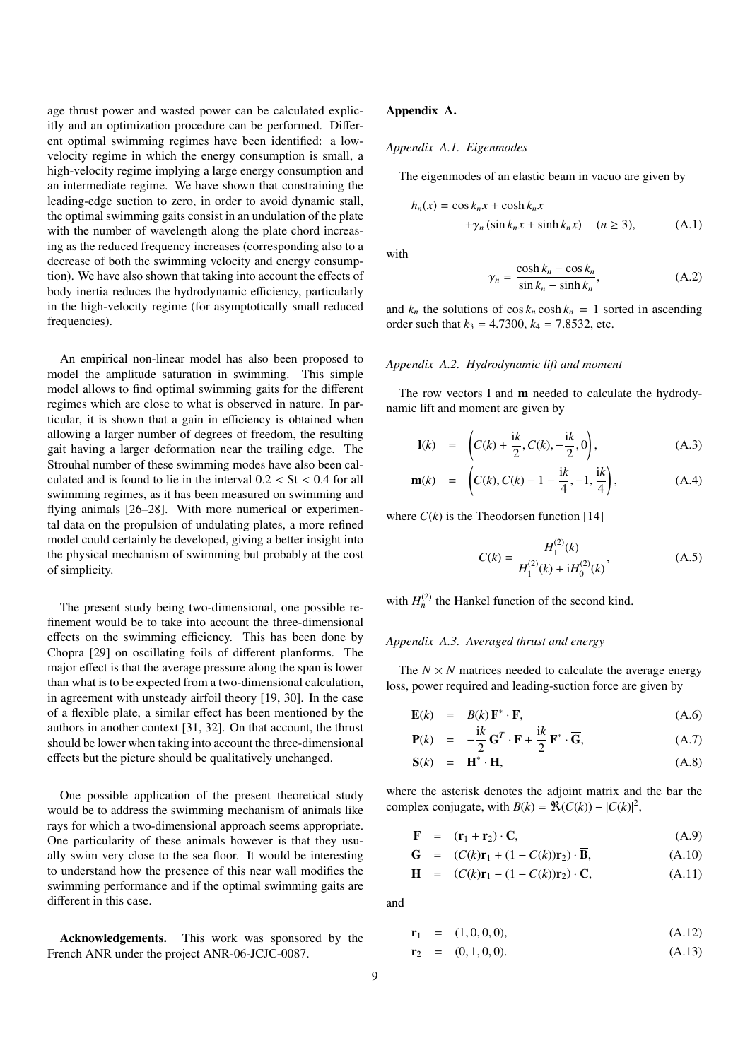age thrust power and wasted power can be calculated explicitly and an optimization procedure can be performed. Different optimal swimming regimes have been identified: a lowvelocity regime in which the energy consumption is small, a high-velocity regime implying a large energy consumption and an intermediate regime. We have shown that constraining the leading-edge suction to zero, in order to avoid dynamic stall, the optimal swimming gaits consist in an undulation of the plate with the number of wavelength along the plate chord increasing as the reduced frequency increases (corresponding also to a decrease of both the swimming velocity and energy consumption). We have also shown that taking into account the effects of body inertia reduces the hydrodynamic efficiency, particularly in the high-velocity regime (for asymptotically small reduced frequencies).

An empirical non-linear model has also been proposed to model the amplitude saturation in swimming. This simple model allows to find optimal swimming gaits for the different regimes which are close to what is observed in nature. In particular, it is shown that a gain in efficiency is obtained when allowing a larger number of degrees of freedom, the resulting gait having a larger deformation near the trailing edge. The Strouhal number of these swimming modes have also been calculated and is found to lie in the interval  $0.2 < St < 0.4$  for all swimming regimes, as it has been measured on swimming and flying animals [26–28]. With more numerical or experimental data on the propulsion of undulating plates, a more refined model could certainly be developed, giving a better insight into the physical mechanism of swimming but probably at the cost of simplicity.

The present study being two-dimensional, one possible refinement would be to take into account the three-dimensional effects on the swimming efficiency. This has been done by Chopra [29] on oscillating foils of different planforms. The major effect is that the average pressure along the span is lower than what is to be expected from a two-dimensional calculation, in agreement with unsteady airfoil theory [19, 30]. In the case of a flexible plate, a similar effect has been mentioned by the authors in another context [31, 32]. On that account, the thrust should be lower when taking into account the three-dimensional effects but the picture should be qualitatively unchanged.

One possible application of the present theoretical study would be to address the swimming mechanism of animals like rays for which a two-dimensional approach seems appropriate. One particularity of these animals however is that they usually swim very close to the sea floor. It would be interesting to understand how the presence of this near wall modifies the swimming performance and if the optimal swimming gaits are different in this case.

Acknowledgements. This work was sponsored by the French ANR under the project ANR-06-JCJC-0087.

## Appendix A.

#### *Appendix A.1. Eigenmodes*

The eigenmodes of an elastic beam in vacuo are given by

$$
h_n(x) = \cos k_n x + \cosh k_n x
$$
  
+ $\gamma_n (\sin k_n x + \sinh k_n x)$  (*n*  $\ge$  3), (A.1)

with

$$
\gamma_n = \frac{\cosh k_n - \cos k_n}{\sin k_n - \sinh k_n},\tag{A.2}
$$

and  $k_n$  the solutions of  $\cos k_n \cosh k_n = 1$  sorted in ascending order such that  $k_3 = 4.7300$ ,  $k_4 = 7.8532$ , etc.

# *Appendix A.2. Hydrodynamic lift and moment*

The row vectors **l** and **m** needed to calculate the hydrodynamic lift and moment are given by

$$
\mathbf{l}(k) = \left( C(k) + \frac{ik}{2}, C(k), -\frac{ik}{2}, 0 \right), \tag{A.3}
$$

$$
\mathbf{m}(k) = \left( C(k), C(k) - 1 - \frac{ik}{4}, -1, \frac{ik}{4} \right), \tag{A.4}
$$

where  $C(k)$  is the Theodorsen function [14]

$$
C(k) = \frac{H_1^{(2)}(k)}{H_1^{(2)}(k) + iH_0^{(2)}(k)},
$$
 (A.5)

with  $H_n^{(2)}$  the Hankel function of the second kind.

#### *Appendix A.3. Averaged thrust and energy*

The  $N \times N$  matrices needed to calculate the average energy loss, power required and leading-suction force are given by

$$
\mathbf{E}(k) = B(k) \mathbf{F}^* \cdot \mathbf{F},
$$
  
\n $i_k$  (A.6)

$$
\mathbf{P}(k) = -\frac{\mathrm{i}k}{2}\mathbf{G}^T \cdot \mathbf{F} + \frac{\mathrm{i}k}{2}\mathbf{F}^* \cdot \overline{\mathbf{G}},\tag{A.7}
$$

$$
\mathbf{S}(k) = \mathbf{H}^* \cdot \mathbf{H}, \tag{A.8}
$$

where the asterisk denotes the adjoint matrix and the bar the complex conjugate, with  $B(k) = \mathcal{R}(C(k)) - |C(k)|^2$ ,

$$
\mathbf{F} = (\mathbf{r}_1 + \mathbf{r}_2) \cdot \mathbf{C}, \tag{A.9}
$$

$$
\mathbf{G} = (C(k)\mathbf{r}_1 + (1 - C(k))\mathbf{r}_2) \cdot \overline{\mathbf{B}},
$$
(A.10)

$$
\mathbf{H} = (C(k)\mathbf{r}_1 - (1 - C(k))\mathbf{r}_2) \cdot \mathbf{C}, \tag{A.11}
$$

and

$$
\mathbf{r}_1 = (1,0,0,0), \tag{A.12}
$$

$$
\mathbf{r}_2 = (0, 1, 0, 0). \tag{A.13}
$$